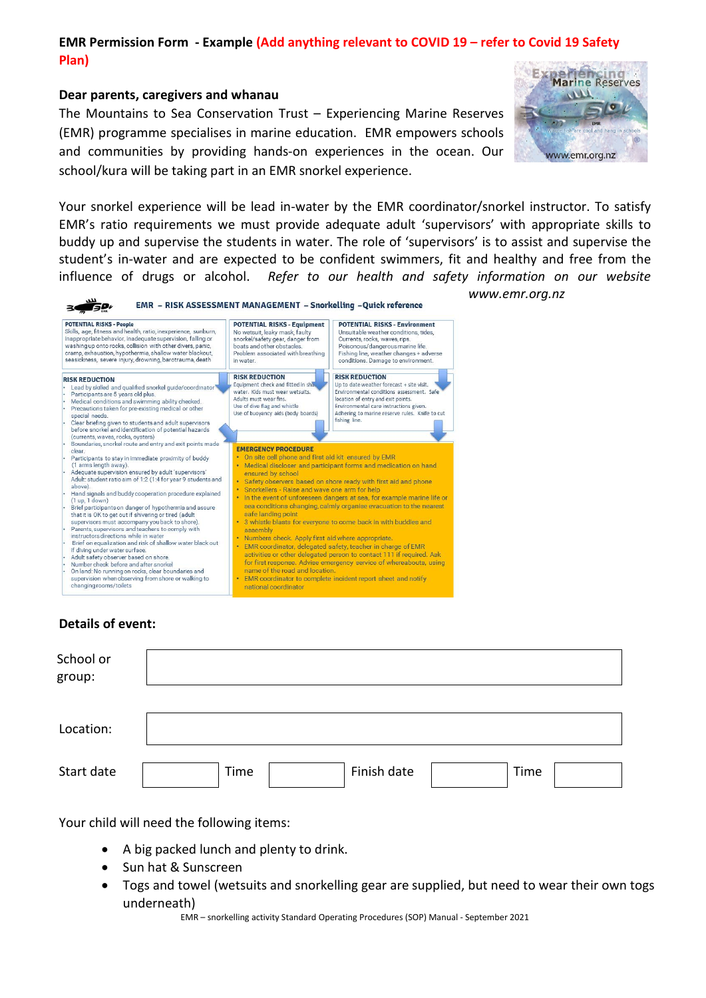# **EMR Permission Form - Example (Add anything relevant to COVID 19 – refer to Covid 19 Safety Plan)**

#### **Dear parents, caregivers and whanau**

The Mountains to Sea Conservation Trust – Experiencing Marine Reserves (EMR) programme specialises in marine education. EMR empowers schools and communities by providing hands-on experiences in the ocean. Our school/kura will be taking part in an EMR snorkel experience.



*www.emr.org.nz* 

Your snorkel experience will be lead in-water by the EMR coordinator/snorkel instructor. To satisfy EMR's ratio requirements we must provide adequate adult 'supervisors' with appropriate skills to buddy up and supervise the students in water. The role of 'supervisors' is to assist and supervise the student's in-water and are expected to be confident swimmers, fit and healthy and free from the influence of drugs or alcohol. *Refer to our health and safety information on our website* 

| <b>POTENTIAL RISKS - People</b><br>Skills, age, fitness and health, ratio, inexperience, sunburn,<br>inappropriate behavior, inadequate supervision, falling or<br>washing up onto rocks, collision with other divers, panic,<br>cramp, exhaustion, hypothermia, shallow water blackout,<br>seasickness, severe injury, drowning, barotrauma, death                                                                                                                                                                                                                                                                                                                                                                                                                                                                                                                                                                                                         | <b>POTENTIAL RISKS - Equipment</b><br>No wetsuit, leaky mask, faulty<br>snorkel/safety gear, danger from<br>boats and other obstacles<br>Problem associated with breathing<br>in water                                                                                                                       | <b>POTENTIAL RISKS - Environment</b><br>Unsuitable weather conditions, tides.<br>Currents, rocks, waves, rips.<br>Poisonous/dangerous marine life.<br>Fishing line, weather changes + adverse<br>conditions. Damage to environment.                                                                                                                                                                                                                                                                                                                                                                                                  |
|-------------------------------------------------------------------------------------------------------------------------------------------------------------------------------------------------------------------------------------------------------------------------------------------------------------------------------------------------------------------------------------------------------------------------------------------------------------------------------------------------------------------------------------------------------------------------------------------------------------------------------------------------------------------------------------------------------------------------------------------------------------------------------------------------------------------------------------------------------------------------------------------------------------------------------------------------------------|--------------------------------------------------------------------------------------------------------------------------------------------------------------------------------------------------------------------------------------------------------------------------------------------------------------|--------------------------------------------------------------------------------------------------------------------------------------------------------------------------------------------------------------------------------------------------------------------------------------------------------------------------------------------------------------------------------------------------------------------------------------------------------------------------------------------------------------------------------------------------------------------------------------------------------------------------------------|
| <b>RISK REDUCTION</b><br>Lead by skilled and qualified snorkel guide/coordinator<br>Participants are 5 years old plus.<br>Medical conditions and swimming ability checked.<br>Precautions taken for pre-existing medical or other<br>special needs.<br>Clear briefing given to students and adult supervisors<br>before snorkel and identification of potential hazards<br>(currents, waves, rocks, oysters)                                                                                                                                                                                                                                                                                                                                                                                                                                                                                                                                                | <b>RISK REDUCTION</b><br>Equipment check and fitted in sha.<br>water. Kids must wear wetsuits.<br>Adults must wear fins.<br>Use of dive flag and whistle<br>Use of buoyancy aids (body boards)                                                                                                               | <b>RISK REDUCTION</b><br>Up to date weather forecast + site visit.<br>Environmental conditions assessment. Safe<br>location of entry and exit points.<br>Environmental care instructions given.<br>Adhering to marine reserve rules. Knife to cut<br>fishing line.                                                                                                                                                                                                                                                                                                                                                                   |
| Boundaries, snorkel route and entry and exit points made<br>clear.<br>Participants to stay in immediate proximity of buddy<br>(1 arms length away).<br>Adequate supervision ensured by adult 'supervisors'<br>Adult: student ratio aim of 1:2 (1:4 for year 9 students and<br>above).<br>Hand signals and buddy cooperation procedure explained<br>(1 up, 1 down)<br>Brief participants on danger of hypothermia and assure<br>that it is OK to get out if shivering or tired (adult<br>supervisors must accompany you back to shore).<br>Parents, supervisors and teachers to comply with<br>instructors directions while in water<br>Brief on equalization and risk of shallow water black out<br>if diving under water surface.<br>Adult safety observer based on shore.<br>Number check before and after snorkel<br>On land: No running on rocks, clear boundaries and<br>supervision when observing from shore or walking to<br>changing rooms/toilets | <b>EMERGENCY PROCEDURE</b><br>• On site cell phone and first aid kit ensured by EMR<br>ensured by school<br>Snorkellers - Raise and wave one arm for help<br>safe landing point<br>assembly<br>• Numbers check. Apply first aid where appropriate.<br>name of the road and location.<br>national coordinator | • Medical discloser and participant forms and medication on hand<br>• Safety observers based on shore ready with first aid and phone<br>In the event of unforeseen dangers at sea, for example marine life or<br>sea conditions changing, calmly organise evacuation to the nearest<br>• 3 whistle blasts for everyone to come back in with buddies and<br>EMR coordinator, delegated safety, teacher in charge of EMR<br>activities or other delegated person to contact 111 if required. Ask<br>for first response. Advise emergency service of whereabouts, using<br>EMR coordinator to complete incident report sheet and notify |

### **Details of event:**

 $\mu$ 

| School or<br>group: |                             |
|---------------------|-----------------------------|
|                     |                             |
| Location:           |                             |
| Start date          | Finish date<br>Time<br>Time |

Your child will need the following items:

- A big packed lunch and plenty to drink.
- Sun hat & Sunscreen
- Togs and towel (wetsuits and snorkelling gear are supplied, but need to wear their own togs underneath)

EMR – snorkelling activity Standard Operating Procedures (SOP) Manual - September 2021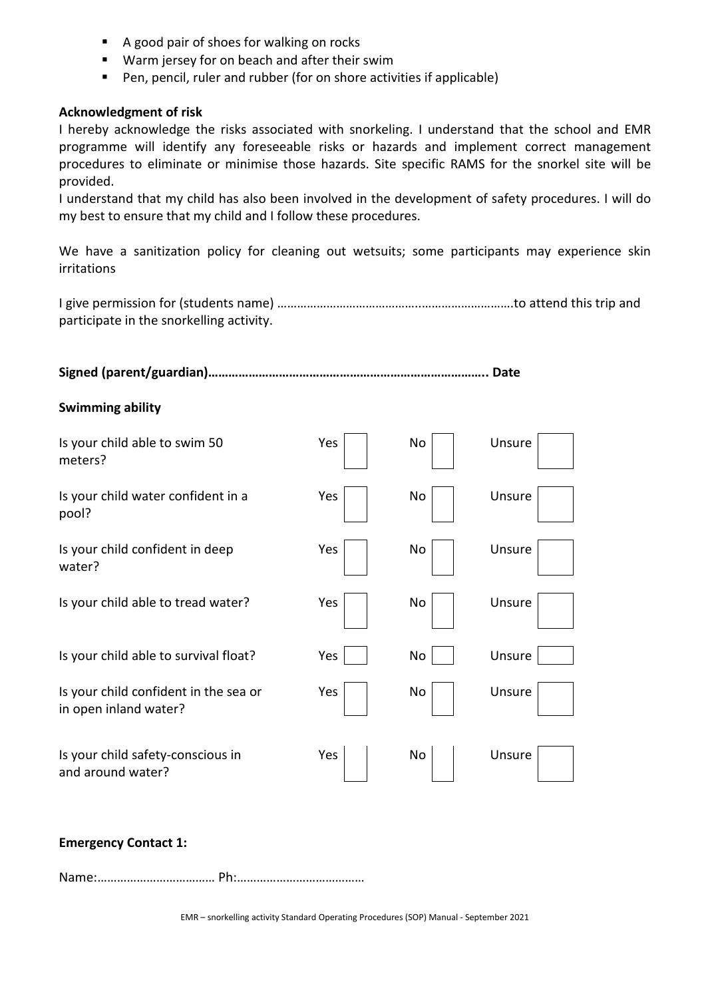- A good pair of shoes for walking on rocks
- Warm jersey for on beach and after their swim
- Pen, pencil, ruler and rubber (for on shore activities if applicable)

### **Acknowledgment of risk**

I hereby acknowledge the risks associated with snorkeling. I understand that the school and EMR programme will identify any foreseeable risks or hazards and implement correct management procedures to eliminate or minimise those hazards. Site specific RAMS for the snorkel site will be provided.

I understand that my child has also been involved in the development of safety procedures. I will do my best to ensure that my child and I follow these procedures.

We have a sanitization policy for cleaning out wetsuits; some participants may experience skin irritations

I give permission for (students name) ……………………………………..……………………….to attend this trip and participate in the snorkelling activity.

**Signed (parent/guardian)……………………………………………………………………….. Date** 

# **Swimming ability**

| Is your child able to swim 50<br>meters?                       | Yes | No | Unsure |
|----------------------------------------------------------------|-----|----|--------|
| Is your child water confident in a<br>pool?                    | Yes | No | Unsure |
| Is your child confident in deep<br>water?                      | Yes | No | Unsure |
| Is your child able to tread water?                             | Yes | No | Unsure |
| Is your child able to survival float?                          | Yes | No | Unsure |
| Is your child confident in the sea or<br>in open inland water? | Yes | No | Unsure |
| Is your child safety-conscious in<br>and around water?         | Yes | No | Unsure |

# **Emergency Contact 1:**

Name:……………………………… Ph:…………………………………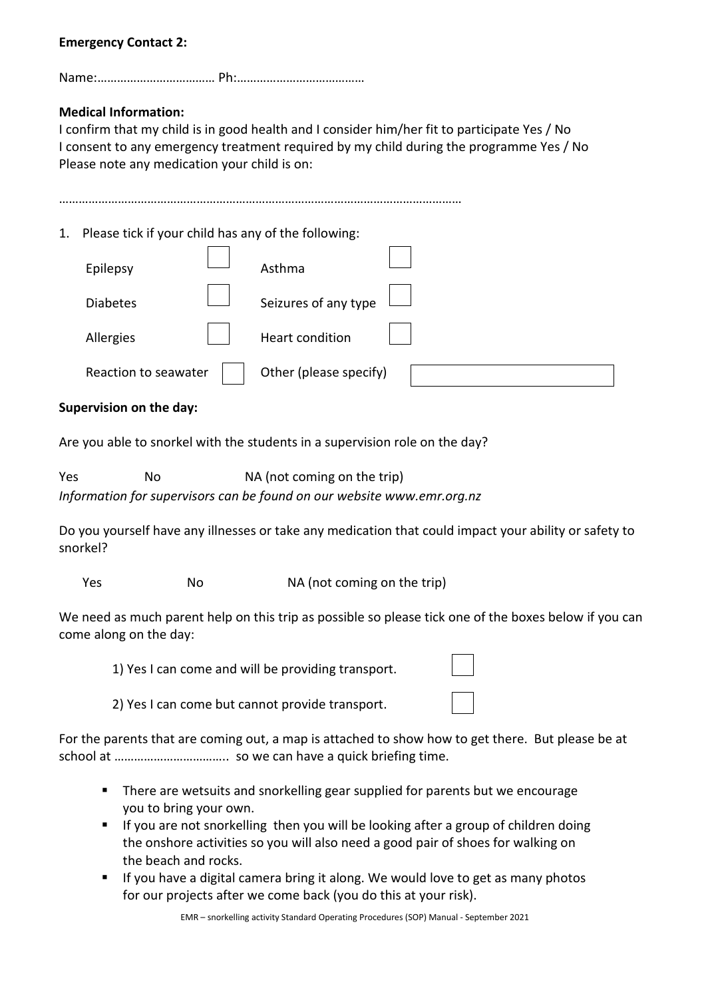# **Emergency Contact 2:**

Name:……………………………… Ph:…………………………………

# **Medical Information:**

I confirm that my child is in good health and I consider him/her fit to participate Yes / No I consent to any emergency treatment required by my child during the programme Yes / No Please note any medication your child is on:

……………………………………………………………………………………………………………

1. Please tick if your child has any of the following:

| Epilepsy             | Asthma                 |  |
|----------------------|------------------------|--|
| <b>Diabetes</b>      | Seizures of any type   |  |
| Allergies            | Heart condition        |  |
| Reaction to seawater | Other (please specify) |  |

#### **Supervision on the day:**

Are you able to snorkel with the students in a supervision role on the day?

Yes No NA (not coming on the trip) *Information for supervisors can be found on our website www.emr.org.nz* 

Do you yourself have any illnesses or take any medication that could impact your ability or safety to snorkel?

Yes No No NA (not coming on the trip)

We need as much parent help on this trip as possible so please tick one of the boxes below if you can come along on the day:

1) Yes I can come and will be providing transport.

2) Yes I can come but cannot provide transport.

For the parents that are coming out, a map is attached to show how to get there. But please be at school at …………………………….. so we can have a quick briefing time.

- **There are wetsuits and snorkelling gear supplied for parents but we encourage** you to bring your own.
- **If you are not snorkelling then you will be looking after a group of children doing** the onshore activities so you will also need a good pair of shoes for walking on the beach and rocks.
- If you have a digital camera bring it along. We would love to get as many photos for our projects after we come back (you do this at your risk).